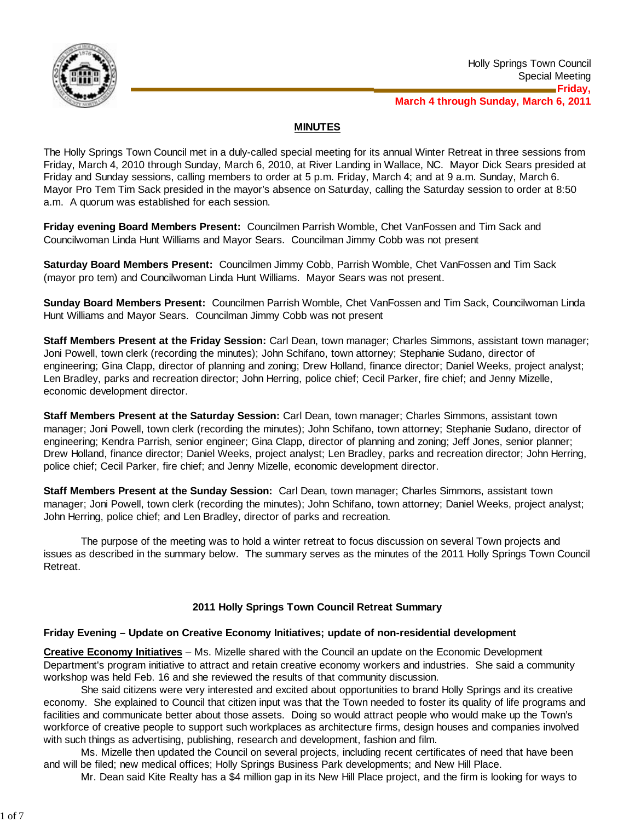

# **MINUTES**

The Holly Springs Town Council met in a duly-called special meeting for its annual Winter Retreat in three sessions from Friday, March 4, 2010 through Sunday, March 6, 2010, at River Landing in Wallace, NC. Mayor Dick Sears presided at Friday and Sunday sessions, calling members to order at 5 p.m. Friday, March 4; and at 9 a.m. Sunday, March 6. Mayor Pro Tem Tim Sack presided in the mayor's absence on Saturday, calling the Saturday session to order at 8:50 a.m. A quorum was established for each session.

**Friday evening Board Members Present:** Councilmen Parrish Womble, Chet VanFossen and Tim Sack and Councilwoman Linda Hunt Williams and Mayor Sears. Councilman Jimmy Cobb was not present

**Saturday Board Members Present:** Councilmen Jimmy Cobb, Parrish Womble, Chet VanFossen and Tim Sack (mayor pro tem) and Councilwoman Linda Hunt Williams. Mayor Sears was not present.

**Sunday Board Members Present:** Councilmen Parrish Womble, Chet VanFossen and Tim Sack, Councilwoman Linda Hunt Williams and Mayor Sears. Councilman Jimmy Cobb was not present

**Staff Members Present at the Friday Session:** Carl Dean, town manager; Charles Simmons, assistant town manager; Joni Powell, town clerk (recording the minutes); John Schifano, town attorney; Stephanie Sudano, director of engineering; Gina Clapp, director of planning and zoning; Drew Holland, finance director; Daniel Weeks, project analyst; Len Bradley, parks and recreation director; John Herring, police chief; Cecil Parker, fire chief; and Jenny Mizelle, economic development director.

**Staff Members Present at the Saturday Session:** Carl Dean, town manager; Charles Simmons, assistant town manager; Joni Powell, town clerk (recording the minutes); John Schifano, town attorney; Stephanie Sudano, director of engineering; Kendra Parrish, senior engineer; Gina Clapp, director of planning and zoning; Jeff Jones, senior planner; Drew Holland, finance director; Daniel Weeks, project analyst; Len Bradley, parks and recreation director; John Herring, police chief; Cecil Parker, fire chief; and Jenny Mizelle, economic development director.

**Staff Members Present at the Sunday Session:**Carl Dean, town manager; Charles Simmons, assistant town manager; Joni Powell, town clerk (recording the minutes); John Schifano, town attorney; Daniel Weeks, project analyst; John Herring, police chief; and Len Bradley, director of parks and recreation.

 The purpose of the meeting was to hold a winter retreat to focus discussion on several Town projects and issues as described in the summary below. The summary serves as the minutes of the 2011 Holly Springs Town Council Retreat.

# **2011 Holly Springs Town Council Retreat Summary**

## **Friday Evening – Update on Creative Economy Initiatives; update of non-residential development**

**Creative Economy Initiatives** – Ms. Mizelle shared with the Council an update on the Economic Development Department's program initiative to attract and retain creative economy workers and industries. She said a community workshop was held Feb. 16 and she reviewed the results of that community discussion.

 She said citizens were very interested and excited about opportunities to brand Holly Springs and its creative economy. She explained to Council that citizen input was that the Town needed to foster its quality of life programs and facilities and communicate better about those assets. Doing so would attract people who would make up the Town's workforce of creative people to support such workplaces as architecture firms, design houses and companies involved with such things as advertising, publishing, research and development, fashion and film.

 Ms. Mizelle then updated the Council on several projects, including recent certificates of need that have been and will be filed; new medical offices; Holly Springs Business Park developments; and New Hill Place.

Mr. Dean said Kite Realty has a \$4 million gap in its New Hill Place project, and the firm is looking for ways to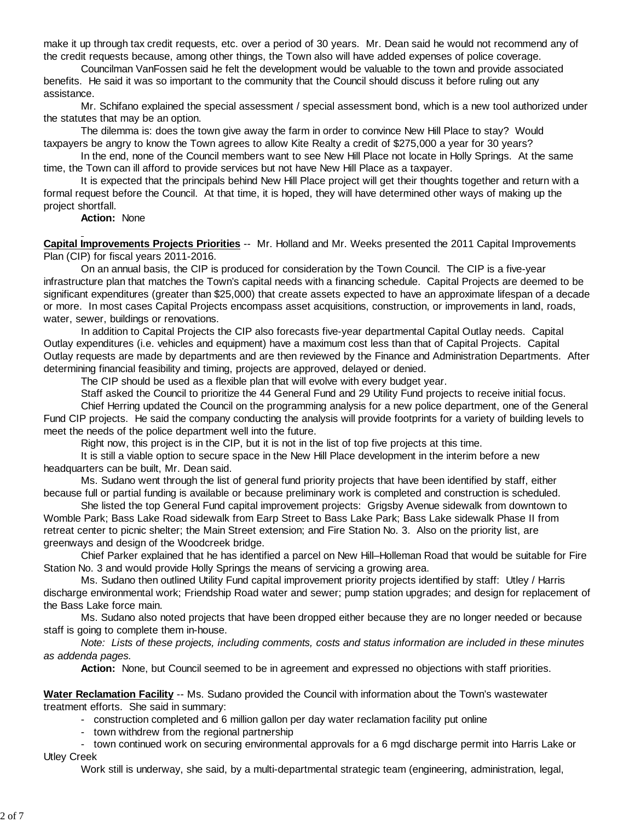make it up through tax credit requests, etc. over a period of 30 years. Mr. Dean said he would not recommend any of the credit requests because, among other things, the Town also will have added expenses of police coverage.

 Councilman VanFossen said he felt the development would be valuable to the town and provide associated benefits. He said it was so important to the community that the Council should discuss it before ruling out any assistance.

 Mr. Schifano explained the special assessment / special assessment bond, which is a new tool authorized under the statutes that may be an option.

The dilemma is: does the town give away the farm in order to convince New Hill Place to stay? Would taxpayers be angry to know the Town agrees to allow Kite Realty a credit of \$275,000 a year for 30 years?

In the end, none of the Council members want to see New Hill Place not locate in Holly Springs. At the same time, the Town can ill afford to provide services but not have New Hill Place as a taxpayer.

It is expected that the principals behind New Hill Place project will get their thoughts together and return with a formal request before the Council. At that time, it is hoped, they will have determined other ways of making up the project shortfall.

**Action:** None

**Capital Improvements Projects Priorities** -- Mr. Holland and Mr. Weeks presented the 2011 Capital Improvements Plan (CIP) for fiscal years 2011-2016.

 On an annual basis, the CIP is produced for consideration by the Town Council. The CIP is a five-year infrastructure plan that matches the Town's capital needs with a financing schedule. Capital Projects are deemed to be significant expenditures (greater than \$25,000) that create assets expected to have an approximate lifespan of a decade or more. In most cases Capital Projects encompass asset acquisitions, construction, or improvements in land, roads, water, sewer, buildings or renovations.

 In addition to Capital Projects the CIP also forecasts five-year departmental Capital Outlay needs. Capital Outlay expenditures (i.e. vehicles and equipment) have a maximum cost less than that of Capital Projects. Capital Outlay requests are made by departments and are then reviewed by the Finance and Administration Departments. After determining financial feasibility and timing, projects are approved, delayed or denied.

The CIP should be used as a flexible plan that will evolve with every budget year.

Staff asked the Council to prioritize the 44 General Fund and 29 Utility Fund projects to receive initial focus.

 Chief Herring updated the Council on the programming analysis for a new police department, one of the General Fund CIP projects. He said the company conducting the analysis will provide footprints for a variety of building levels to meet the needs of the police department well into the future.

Right now, this project is in the CIP, but it is not in the list of top five projects at this time.

 It is still a viable option to secure space in the New Hill Place development in the interim before a new headquarters can be built, Mr. Dean said.

 Ms. Sudano went through the list of general fund priority projects that have been identified by staff, either because full or partial funding is available or because preliminary work is completed and construction is scheduled.

 She listed the top General Fund capital improvement projects: Grigsby Avenue sidewalk from downtown to Womble Park; Bass Lake Road sidewalk from Earp Street to Bass Lake Park; Bass Lake sidewalk Phase II from retreat center to picnic shelter; the Main Street extension; and Fire Station No. 3. Also on the priority list, are greenways and design of the Woodcreek bridge.

 Chief Parker explained that he has identified a parcel on New Hill–Holleman Road that would be suitable for Fire Station No. 3 and would provide Holly Springs the means of servicing a growing area.

 Ms. Sudano then outlined Utility Fund capital improvement priority projects identified by staff: Utley / Harris discharge environmental work; Friendship Road water and sewer; pump station upgrades; and design for replacement of the Bass Lake force main.

 Ms. Sudano also noted projects that have been dropped either because they are no longer needed or because staff is going to complete them in-house.

 *Note: Lists of these projects, including comments, costs and status information are included in these minutes as addenda pages.*

**Action:** None, but Council seemed to be in agreement and expressed no objections with staff priorities.

# **Water Reclamation Facility** -- Ms. Sudano provided the Council with information about the Town's wastewater treatment efforts. She said in summary:

- construction completed and 6 million gallon per day water reclamation facility put online
- town withdrew from the regional partnership

 - town continued work on securing environmental approvals for a 6 mgd discharge permit into Harris Lake or Utley Creek

Work still is underway, she said, by a multi-departmental strategic team (engineering, administration, legal,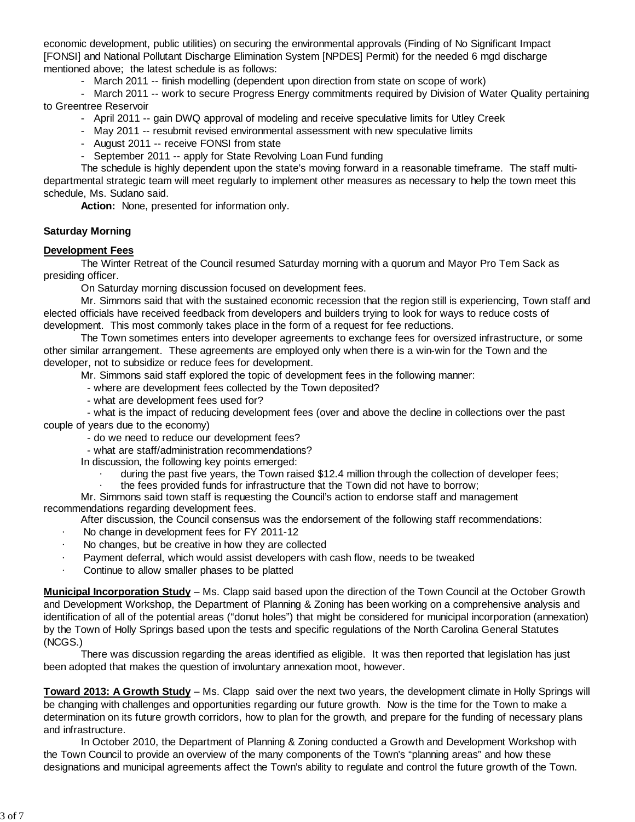economic development, public utilities) on securing the environmental approvals (Finding of No Significant Impact [FONSI] and National Pollutant Discharge Elimination System [NPDES] Permit) for the needed 6 mgd discharge mentioned above; the latest schedule is as follows:

- March 2011 -- finish modelling (dependent upon direction from state on scope of work)

 - March 2011 -- work to secure Progress Energy commitments required by Division of Water Quality pertaining to Greentree Reservoir

- April 2011 -- gain DWQ approval of modeling and receive speculative limits for Utley Creek
- May 2011 -- resubmit revised environmental assessment with new speculative limits
- August 2011 -- receive FONSI from state
- September 2011 -- apply for State Revolving Loan Fund funding

 The schedule is highly dependent upon the state's moving forward in a reasonable timeframe. The staff multidepartmental strategic team will meet regularly to implement other measures as necessary to help the town meet this schedule, Ms. Sudano said.

**Action:** None, presented for information only.

## **Saturday Morning**

## **Development Fees**

 The Winter Retreat of the Council resumed Saturday morning with a quorum and Mayor Pro Tem Sack as presiding officer.

On Saturday morning discussion focused on development fees.

Mr. Simmons said that with the sustained economic recession that the region still is experiencing, Town staff and elected officials have received feedback from developers and builders trying to look for ways to reduce costs of development. This most commonly takes place in the form of a request for fee reductions.

 The Town sometimes enters into developer agreements to exchange fees for oversized infrastructure, or some other similar arrangement. These agreements are employed only when there is a win-win for the Town and the developer, not to subsidize or reduce fees for development.

Mr. Simmons said staff explored the topic of development fees in the following manner:

- where are development fees collected by the Town deposited?

- what are development fees used for?

 - what is the impact of reducing development fees (over and above the decline in collections over the past couple of years due to the economy)

- do we need to reduce our development fees?
- what are staff/administration recommendations?

In discussion, the following key points emerged:

- during the past five years, the Town raised \$12.4 million through the collection of developer fees;
- the fees provided funds for infrastructure that the Town did not have to borrow;

Mr. Simmons said town staff is requesting the Council's action to endorse staff and management recommendations regarding development fees.

After discussion, the Council consensus was the endorsement of the following staff recommendations:

- No change in development fees for FY 2011-12
- No changes, but be creative in how they are collected
- Payment deferral, which would assist developers with cash flow, needs to be tweaked
- Continue to allow smaller phases to be platted

**Municipal Incorporation Study** – Ms. Clapp said based upon the direction of the Town Council at the October Growth and Development Workshop, the Department of Planning & Zoning has been working on a comprehensive analysis and identification of all of the potential areas ("donut holes") that might be considered for municipal incorporation (annexation) by the Town of Holly Springs based upon the tests and specific regulations of the North Carolina General Statutes (NCGS.)

 There was discussion regarding the areas identified as eligible. It was then reported that legislation has just been adopted that makes the question of involuntary annexation moot, however.

**Toward 2013: A Growth Study** – Ms. Clapp said over the next two years, the development climate in Holly Springs will be changing with challenges and opportunities regarding our future growth. Now is the time for the Town to make a determination on its future growth corridors, how to plan for the growth, and prepare for the funding of necessary plans and infrastructure.

 In October 2010, the Department of Planning & Zoning conducted a Growth and Development Workshop with the Town Council to provide an overview of the many components of the Town's "planning areas" and how these designations and municipal agreements affect the Town's ability to regulate and control the future growth of the Town.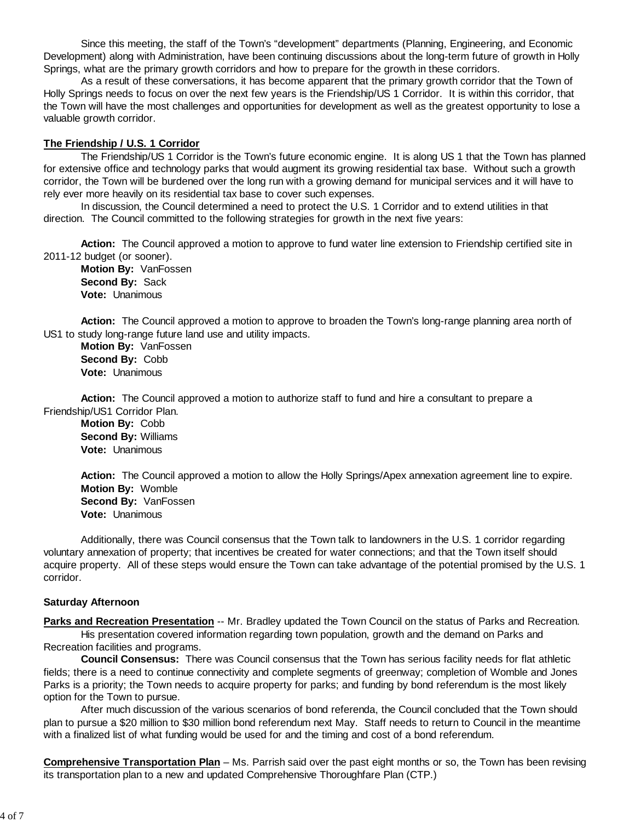Since this meeting, the staff of the Town's "development" departments (Planning, Engineering, and Economic Development) along with Administration, have been continuing discussions about the long-term future of growth in Holly Springs, what are the primary growth corridors and how to prepare for the growth in these corridors.

 As a result of these conversations, it has become apparent that the primary growth corridor that the Town of Holly Springs needs to focus on over the next few years is the Friendship/US 1 Corridor. It is within this corridor, that the Town will have the most challenges and opportunities for development as well as the greatest opportunity to lose a valuable growth corridor.

### **The Friendship / U.S. 1 Corridor**

 The Friendship/US 1 Corridor is the Town's future economic engine. It is along US 1 that the Town has planned for extensive office and technology parks that would augment its growing residential tax base. Without such a growth corridor, the Town will be burdened over the long run with a growing demand for municipal services and it will have to rely ever more heavily on its residential tax base to cover such expenses.

 In discussion, the Council determined a need to protect the U.S. 1 Corridor and to extend utilities in that direction. The Council committed to the following strategies for growth in the next five years:

**Action:** The Council approved a motion to approve to fund water line extension to Friendship certified site in 2011-12 budget (or sooner).

**Motion By:** VanFossen **Second By:** Sack **Vote:** Unanimous

**Action:** The Council approved a motion to approve to broaden the Town's long-range planning area north of US1 to study long-range future land use and utility impacts.

**Motion By:** VanFossen **Second By:** Cobb **Vote:** Unanimous

**Action:** The Council approved a motion to authorize staff to fund and hire a consultant to prepare a Friendship/US1 Corridor Plan.

**Motion By:** Cobb **Second By:** Williams **Vote:** Unanimous

**Action:** The Council approved a motion to allow the Holly Springs/Apex annexation agreement line to expire. **Motion By:** Womble **Second By:** VanFossen **Vote:** Unanimous

Additionally, there was Council consensus that the Town talk to landowners in the U.S. 1 corridor regarding voluntary annexation of property; that incentives be created for water connections; and that the Town itself should acquire property. All of these steps would ensure the Town can take advantage of the potential promised by the U.S. 1 corridor.

#### **Saturday Afternoon**

**Parks and Recreation Presentation -- Mr. Bradley updated the Town Council on the status of Parks and Recreation.**  His presentation covered information regarding town population, growth and the demand on Parks and Recreation facilities and programs.

 **Council Consensus:** There was Council consensus that the Town has serious facility needs for flat athletic fields; there is a need to continue connectivity and complete segments of greenway; completion of Womble and Jones Parks is a priority; the Town needs to acquire property for parks; and funding by bond referendum is the most likely option for the Town to pursue.

After much discussion of the various scenarios of bond referenda, the Council concluded that the Town should plan to pursue a \$20 million to \$30 million bond referendum next May. Staff needs to return to Council in the meantime with a finalized list of what funding would be used for and the timing and cost of a bond referendum.

**Comprehensive Transportation Plan** – Ms. Parrish said over the past eight months or so, the Town has been revising its transportation plan to a new and updated Comprehensive Thoroughfare Plan (CTP.)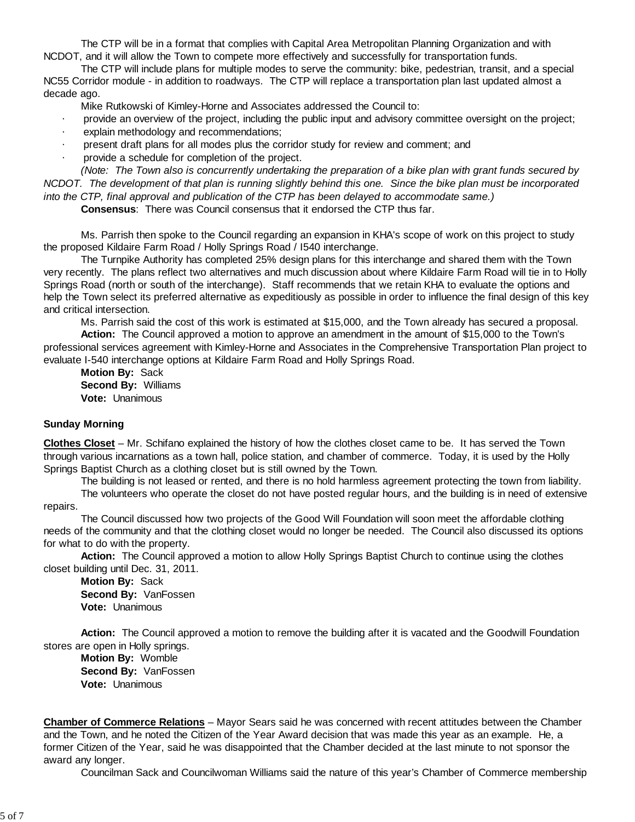The CTP will be in a format that complies with Capital Area Metropolitan Planning Organization and with NCDOT, and it will allow the Town to compete more effectively and successfully for transportation funds.

 The CTP will include plans for multiple modes to serve the community: bike, pedestrian, transit, and a special NC55 Corridor module - in addition to roadways. The CTP will replace a transportation plan last updated almost a decade ago.

Mike Rutkowski of Kimley-Horne and Associates addressed the Council to:

- provide an overview of the project, including the public input and advisory committee oversight on the project;
- explain methodology and recommendations;
- present draft plans for all modes plus the corridor study for review and comment; and
- provide a schedule for completion of the project.

 *(Note: The Town also is concurrently undertaking the preparation of a bike plan with grant funds secured by NCDOT. The development of that plan is running slightly behind this one. Since the bike plan must be incorporated into the CTP, final approval and publication of the CTP has been delayed to accommodate same.)*

 **Consensus**: There was Council consensus that it endorsed the CTP thus far.

 Ms. Parrish then spoke to the Council regarding an expansion in KHA's scope of work on this project to study the proposed Kildaire Farm Road / Holly Springs Road / I540 interchange.

 The Turnpike Authority has completed 25% design plans for this interchange and shared them with the Town very recently. The plans reflect two alternatives and much discussion about where Kildaire Farm Road will tie in to Holly Springs Road (north or south of the interchange). Staff recommends that we retain KHA to evaluate the options and help the Town select its preferred alternative as expeditiously as possible in order to influence the final design of this key and critical intersection.

Ms. Parrish said the cost of this work is estimated at \$15,000, and the Town already has secured a proposal.

**Action:** The Council approved a motion to approve an amendment in the amount of \$15,000 to the Town's professional services agreement with Kimley-Horne and Associates in the Comprehensive Transportation Plan project to evaluate I-540 interchange options at Kildaire Farm Road and Holly Springs Road.

**Motion By:** Sack **Second By:** Williams **Vote:** Unanimous

## **Sunday Morning**

**Clothes Closet** – Mr. Schifano explained the history of how the clothes closet came to be. It has served the Town through various incarnations as a town hall, police station, and chamber of commerce. Today, it is used by the Holly Springs Baptist Church as a clothing closet but is still owned by the Town.

The building is not leased or rented, and there is no hold harmless agreement protecting the town from liability.

 The volunteers who operate the closet do not have posted regular hours, and the building is in need of extensive repairs.

 The Council discussed how two projects of the Good Will Foundation will soon meet the affordable clothing needs of the community and that the clothing closet would no longer be needed. The Council also discussed its options for what to do with the property.

 **Action:** The Council approved a motion to allow Holly Springs Baptist Church to continue using the clothes closet building until Dec. 31, 2011.

**Motion By:** Sack **Second By:** VanFossen **Vote:** Unanimous

**Action:** The Council approved a motion to remove the building after it is vacated and the Goodwill Foundation stores are open in Holly springs.

**Motion By:** Womble **Second By:** VanFossen **Vote:** Unanimous

**Chamber of Commerce Relations** – Mayor Sears said he was concerned with recent attitudes between the Chamber and the Town, and he noted the Citizen of the Year Award decision that was made this year as an example. He, a former Citizen of the Year, said he was disappointed that the Chamber decided at the last minute to not sponsor the award any longer.

Councilman Sack and Councilwoman Williams said the nature of this year's Chamber of Commerce membership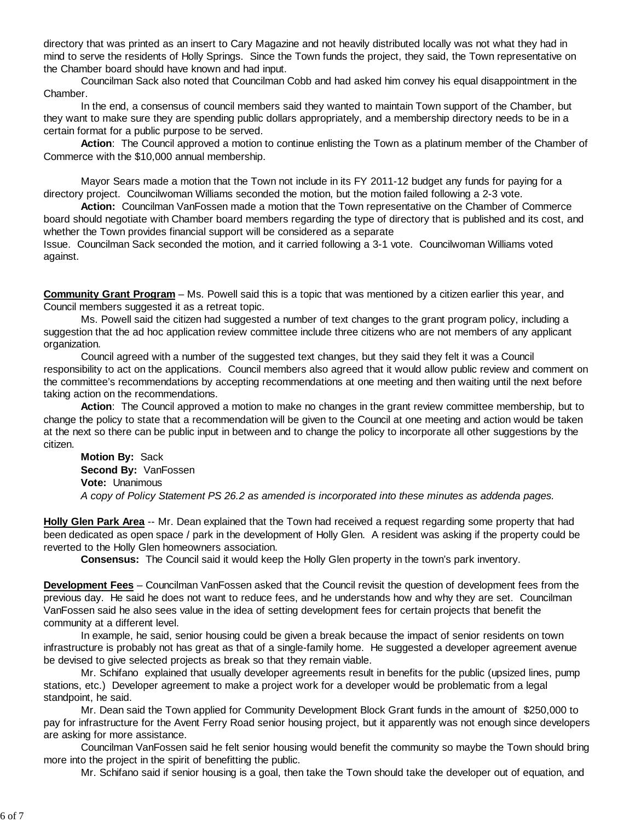directory that was printed as an insert to Cary Magazine and not heavily distributed locally was not what they had in mind to serve the residents of Holly Springs. Since the Town funds the project, they said, the Town representative on the Chamber board should have known and had input.

 Councilman Sack also noted that Councilman Cobb and had asked him convey his equal disappointment in the Chamber.

 In the end, a consensus of council members said they wanted to maintain Town support of the Chamber, but they want to make sure they are spending public dollars appropriately, and a membership directory needs to be in a certain format for a public purpose to be served.

 **Action**: The Council approved a motion to continue enlisting the Town as a platinum member of the Chamber of Commerce with the \$10,000 annual membership.

 Mayor Sears made a motion that the Town not include in its FY 2011-12 budget any funds for paying for a directory project. Councilwoman Williams seconded the motion, but the motion failed following a 2-3 vote.

 **Action:** Councilman VanFossen made a motion that the Town representative on the Chamber of Commerce board should negotiate with Chamber board members regarding the type of directory that is published and its cost, and whether the Town provides financial support will be considered as a separate

Issue. Councilman Sack seconded the motion, and it carried following a 3-1 vote. Councilwoman Williams voted against.

**Community Grant Program** – Ms. Powell said this is a topic that was mentioned by a citizen earlier this year, and Council members suggested it as a retreat topic.

 Ms. Powell said the citizen had suggested a number of text changes to the grant program policy, including a suggestion that the ad hoc application review committee include three citizens who are not members of any applicant organization.

 Council agreed with a number of the suggested text changes, but they said they felt it was a Council responsibility to act on the applications. Council members also agreed that it would allow public review and comment on the committee's recommendations by accepting recommendations at one meeting and then waiting until the next before taking action on the recommendations.

 **Action**: The Council approved a motion to make no changes in the grant review committee membership, but to change the policy to state that a recommendation will be given to the Council at one meeting and action would be taken at the next so there can be public input in between and to change the policy to incorporate all other suggestions by the citizen.

 **Motion By:** Sack **Second By:** VanFossen **Vote:** Unanimous *A copy of Policy Statement PS 26.2 as amended is incorporated into these minutes as addenda pages.*

**Holly Glen Park Area** -- Mr. Dean explained that the Town had received a request regarding some property that had been dedicated as open space / park in the development of Holly Glen. A resident was asking if the property could be reverted to the Holly Glen homeowners association.

**Consensus:** The Council said it would keep the Holly Glen property in the town's park inventory.

**Development Fees** – Councilman VanFossen asked that the Council revisit the question of development fees from the previous day. He said he does not want to reduce fees, and he understands how and why they are set. Councilman VanFossen said he also sees value in the idea of setting development fees for certain projects that benefit the community at a different level.

 In example, he said, senior housing could be given a break because the impact of senior residents on town infrastructure is probably not has great as that of a single-family home. He suggested a developer agreement avenue be devised to give selected projects as break so that they remain viable.

 Mr. Schifano explained that usually developer agreements result in benefits for the public (upsized lines, pump stations, etc.) Developer agreement to make a project work for a developer would be problematic from a legal standpoint, he said.

 Mr. Dean said the Town applied for Community Development Block Grant funds in the amount of \$250,000 to pay for infrastructure for the Avent Ferry Road senior housing project, but it apparently was not enough since developers are asking for more assistance.

 Councilman VanFossen said he felt senior housing would benefit the community so maybe the Town should bring more into the project in the spirit of benefitting the public.

Mr. Schifano said if senior housing is a goal, then take the Town should take the developer out of equation, and